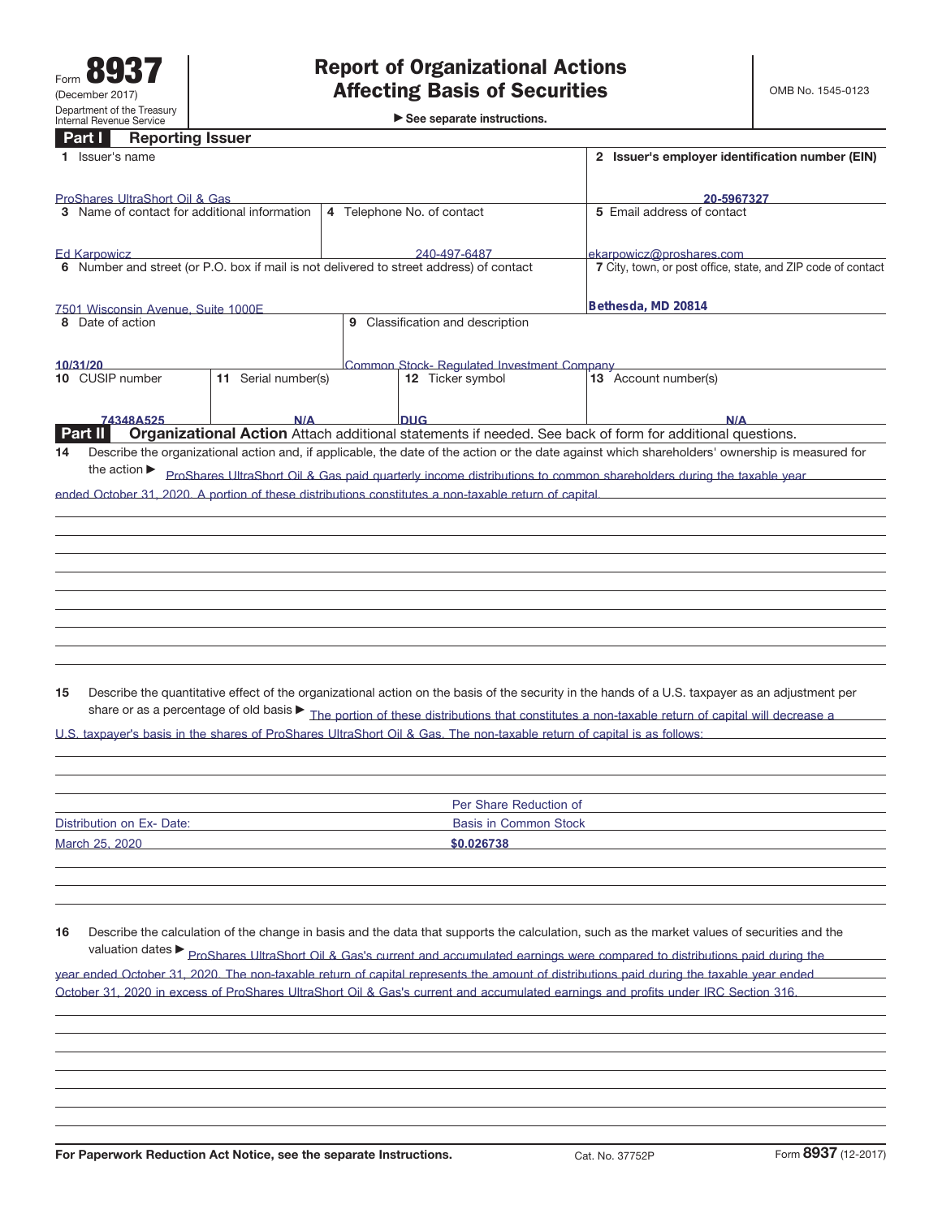**Part I Reporting Issuer**

|    | 1 Issuer's name                                                                                                |                     | 2 Issuer's employer identification number (EIN) |                                                                                                       |                                                                                                                                                                 |  |  |
|----|----------------------------------------------------------------------------------------------------------------|---------------------|-------------------------------------------------|-------------------------------------------------------------------------------------------------------|-----------------------------------------------------------------------------------------------------------------------------------------------------------------|--|--|
|    |                                                                                                                |                     |                                                 |                                                                                                       |                                                                                                                                                                 |  |  |
|    | ProShares UltraShort Oil & Gas<br>3 Name of contact for additional information                                 |                     | 4 Telephone No. of contact                      | 20-5967327<br>5 Email address of contact                                                              |                                                                                                                                                                 |  |  |
|    |                                                                                                                |                     |                                                 |                                                                                                       |                                                                                                                                                                 |  |  |
|    |                                                                                                                |                     |                                                 |                                                                                                       |                                                                                                                                                                 |  |  |
|    | <b>Ed Karpowicz</b><br>6 Number and street (or P.O. box if mail is not delivered to street address) of contact |                     |                                                 | 240-497-6487                                                                                          | ekarpowicz@proshares.com<br>7 City, town, or post office, state, and ZIP code of contact                                                                        |  |  |
|    |                                                                                                                |                     |                                                 |                                                                                                       |                                                                                                                                                                 |  |  |
|    |                                                                                                                |                     |                                                 |                                                                                                       | Bethesda, MD 20814                                                                                                                                              |  |  |
|    | 7501 Wisconsin Avenue Suite 1000F<br>8 Date of action                                                          |                     |                                                 | 9 Classification and description                                                                      |                                                                                                                                                                 |  |  |
|    |                                                                                                                |                     |                                                 |                                                                                                       |                                                                                                                                                                 |  |  |
|    | 10/31/20                                                                                                       |                     |                                                 | Common Stock- Regulated Investment Company                                                            |                                                                                                                                                                 |  |  |
|    | 10 CUSIP number                                                                                                | 11 Serial number(s) |                                                 | 12 Ticker symbol                                                                                      | 13 Account number(s)                                                                                                                                            |  |  |
|    |                                                                                                                |                     |                                                 |                                                                                                       |                                                                                                                                                                 |  |  |
|    | 74348A525                                                                                                      |                     |                                                 | <b>DUG</b>                                                                                            |                                                                                                                                                                 |  |  |
|    | <b>Part II</b>                                                                                                 | N/A                 |                                                 |                                                                                                       | $N/\Delta$<br>Organizational Action Attach additional statements if needed. See back of form for additional questions.                                          |  |  |
| 14 |                                                                                                                |                     |                                                 |                                                                                                       | Describe the organizational action and, if applicable, the date of the action or the date against which shareholders' ownership is measured for                 |  |  |
|    | the action $\blacktriangleright$                                                                               |                     |                                                 |                                                                                                       |                                                                                                                                                                 |  |  |
|    |                                                                                                                |                     |                                                 |                                                                                                       | ProShares UltraShort Oil & Gas paid quarterly income distributions to common shareholders during the taxable year                                               |  |  |
|    |                                                                                                                |                     |                                                 | ended October 31, 2020. A portion of these distributions constitutes a non-taxable return of capital. |                                                                                                                                                                 |  |  |
|    |                                                                                                                |                     |                                                 |                                                                                                       |                                                                                                                                                                 |  |  |
|    |                                                                                                                |                     |                                                 |                                                                                                       |                                                                                                                                                                 |  |  |
|    |                                                                                                                |                     |                                                 |                                                                                                       |                                                                                                                                                                 |  |  |
|    |                                                                                                                |                     |                                                 |                                                                                                       |                                                                                                                                                                 |  |  |
|    |                                                                                                                |                     |                                                 |                                                                                                       |                                                                                                                                                                 |  |  |
|    |                                                                                                                |                     |                                                 |                                                                                                       |                                                                                                                                                                 |  |  |
|    |                                                                                                                |                     |                                                 |                                                                                                       |                                                                                                                                                                 |  |  |
|    |                                                                                                                |                     |                                                 |                                                                                                       |                                                                                                                                                                 |  |  |
|    |                                                                                                                |                     |                                                 |                                                                                                       |                                                                                                                                                                 |  |  |
| 15 |                                                                                                                |                     |                                                 |                                                                                                       | Describe the quantitative effect of the organizational action on the basis of the security in the hands of a U.S. taxpayer as an adjustment per                 |  |  |
|    |                                                                                                                |                     |                                                 |                                                                                                       |                                                                                                                                                                 |  |  |
|    |                                                                                                                |                     |                                                 |                                                                                                       | share or as a percentage of old basis $\blacktriangleright$ The portion of these distributions that constitutes a non-taxable return of capital will decrease a |  |  |
|    |                                                                                                                |                     |                                                 |                                                                                                       | U.S. taxpayer's basis in the shares of ProShares UltraShort Oil & Gas. The non-taxable return of capital is as follows:                                         |  |  |
|    |                                                                                                                |                     |                                                 |                                                                                                       |                                                                                                                                                                 |  |  |
|    |                                                                                                                |                     |                                                 |                                                                                                       |                                                                                                                                                                 |  |  |
|    |                                                                                                                |                     |                                                 | Per Share Reduction of                                                                                |                                                                                                                                                                 |  |  |
|    | Distribution on Ex- Date:                                                                                      |                     |                                                 | <b>Basis in Common Stock</b>                                                                          |                                                                                                                                                                 |  |  |
|    |                                                                                                                |                     |                                                 |                                                                                                       |                                                                                                                                                                 |  |  |
|    | March 25, 2020                                                                                                 |                     |                                                 | \$0.026738                                                                                            |                                                                                                                                                                 |  |  |
|    |                                                                                                                |                     |                                                 |                                                                                                       |                                                                                                                                                                 |  |  |
|    |                                                                                                                |                     |                                                 |                                                                                                       |                                                                                                                                                                 |  |  |
|    |                                                                                                                |                     |                                                 |                                                                                                       |                                                                                                                                                                 |  |  |
| 16 |                                                                                                                |                     |                                                 |                                                                                                       | Describe the calculation of the change in basis and the data that supports the calculation, such as the market values of securities and the                     |  |  |
|    |                                                                                                                |                     |                                                 |                                                                                                       |                                                                                                                                                                 |  |  |
|    |                                                                                                                |                     |                                                 |                                                                                                       | valuation dates > ProShares UltraShort Oil & Gas's current and accumulated earnings were compared to distributions paid during the                              |  |  |
|    |                                                                                                                |                     |                                                 |                                                                                                       | year ended October 31, 2020. The non-taxable return of capital represents the amount of distributions paid during the taxable year ended                        |  |  |
|    |                                                                                                                |                     |                                                 |                                                                                                       | October 31, 2020 in excess of ProShares UltraShort Oil & Gas's current and accumulated earnings and profits under IRC Section 316.                              |  |  |
|    |                                                                                                                |                     |                                                 |                                                                                                       |                                                                                                                                                                 |  |  |
|    |                                                                                                                |                     |                                                 |                                                                                                       |                                                                                                                                                                 |  |  |
|    |                                                                                                                |                     |                                                 |                                                                                                       |                                                                                                                                                                 |  |  |
|    |                                                                                                                |                     |                                                 |                                                                                                       |                                                                                                                                                                 |  |  |
|    |                                                                                                                |                     |                                                 |                                                                                                       |                                                                                                                                                                 |  |  |
|    |                                                                                                                |                     |                                                 |                                                                                                       |                                                                                                                                                                 |  |  |